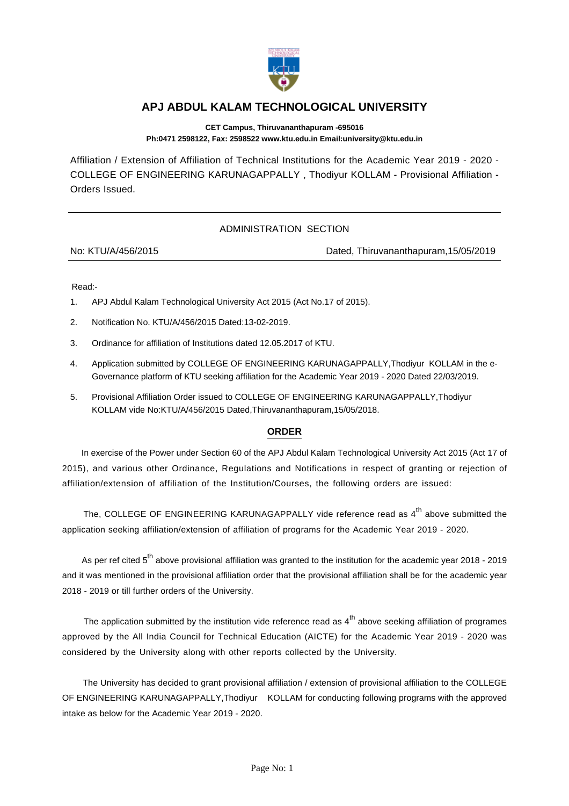

## **APJ ABDUL KALAM TECHNOLOGICAL UNIVERSITY**

**CET Campus, Thiruvananthapuram -695016 Ph:0471 2598122, Fax: 2598522 www.ktu.edu.in Email:university@ktu.edu.in**

Affiliation / Extension of Affiliation of Technical Institutions for the Academic Year 2019 - 2020 - COLLEGE OF ENGINEERING KARUNAGAPPALLY , Thodiyur KOLLAM - Provisional Affiliation - Orders Issued.

## ADMINISTRATION SECTION

No: KTU/A/456/2015 Dated, Thiruvananthapuram,15/05/2019

Read:-

- 1. APJ Abdul Kalam Technological University Act 2015 (Act No.17 of 2015).
- 2. Notification No. KTU/A/456/2015 Dated:13-02-2019.
- 3. Ordinance for affiliation of Institutions dated 12.05.2017 of KTU.
- 4. Application submitted by COLLEGE OF ENGINEERING KARUNAGAPPALLY,Thodiyur KOLLAM in the e-Governance platform of KTU seeking affiliation for the Academic Year 2019 - 2020 Dated 22/03/2019.
- 5. Provisional Affiliation Order issued to COLLEGE OF ENGINEERING KARUNAGAPPALLY,Thodiyur KOLLAM vide No:KTU/A/456/2015 Dated,Thiruvananthapuram,15/05/2018.

## **ORDER**

 In exercise of the Power under Section 60 of the APJ Abdul Kalam Technological University Act 2015 (Act 17 of 2015), and various other Ordinance, Regulations and Notifications in respect of granting or rejection of affiliation/extension of affiliation of the Institution/Courses, the following orders are issued:

The, COLLEGE OF ENGINEERING KARUNAGAPPALLY vide reference read as  $4<sup>th</sup>$  above submitted the application seeking affiliation/extension of affiliation of programs for the Academic Year 2019 - 2020.

As per ref cited  $5<sup>th</sup>$  above provisional affiliation was granted to the institution for the academic year 2018 - 2019 and it was mentioned in the provisional affiliation order that the provisional affiliation shall be for the academic year 2018 - 2019 or till further orders of the University.

The application submitted by the institution vide reference read as  $4<sup>th</sup>$  above seeking affiliation of programes approved by the All India Council for Technical Education (AICTE) for the Academic Year 2019 - 2020 was considered by the University along with other reports collected by the University.

 The University has decided to grant provisional affiliation / extension of provisional affiliation to the COLLEGE OF ENGINEERING KARUNAGAPPALLY,Thodiyur KOLLAM for conducting following programs with the approved intake as below for the Academic Year 2019 - 2020.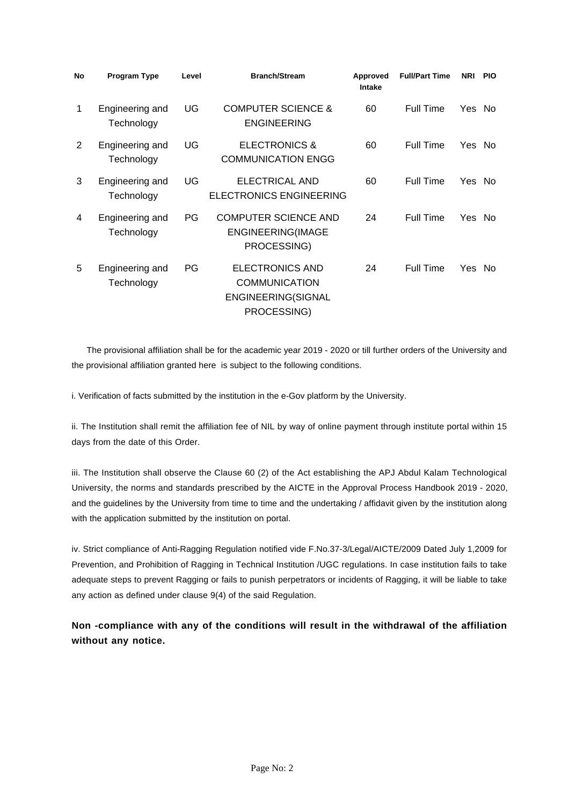| No | <b>Program Type</b>           | Level | <b>Branch/Stream</b>                                                                | Approved<br>Intake | <b>Full/Part Time</b> | NRI PIO |  |
|----|-------------------------------|-------|-------------------------------------------------------------------------------------|--------------------|-----------------------|---------|--|
| 1  | Engineering and<br>Technology | UG    | <b>COMPUTER SCIENCE &amp;</b><br><b>ENGINEERING</b>                                 | 60                 | Full Time             | Yes No  |  |
| 2  | Engineering and<br>Technology | UG    | <b>ELECTRONICS &amp;</b><br><b>COMMUNICATION ENGG</b>                               | 60                 | Full Time             | Yes No  |  |
| 3  | Engineering and<br>Technology | UG    | ELECTRICAL AND<br><b>ELECTRONICS ENGINEERING</b>                                    | 60                 | Full Time             | Yes No  |  |
| 4  | Engineering and<br>Technology | PG    | <b>COMPUTER SCIENCE AND</b><br><b>ENGINEERING(IMAGE</b><br>PROCESSING)              | 24                 | Full Time             | Yes No  |  |
| 5  | Engineering and<br>Technology | PG    | <b>ELECTRONICS AND</b><br><b>COMMUNICATION</b><br>ENGINEERING(SIGNAL<br>PROCESSING) | 24                 | Full Time             | Yes No  |  |

 The provisional affiliation shall be for the academic year 2019 - 2020 or till further orders of the University and the provisional affiliation granted here is subject to the following conditions.

i. Verification of facts submitted by the institution in the e-Gov platform by the University.

ii. The Institution shall remit the affiliation fee of NIL by way of online payment through institute portal within 15 days from the date of this Order.

iii. The Institution shall observe the Clause 60 (2) of the Act establishing the APJ Abdul Kalam Technological University, the norms and standards prescribed by the AICTE in the Approval Process Handbook 2019 - 2020, and the guidelines by the University from time to time and the undertaking / affidavit given by the institution along with the application submitted by the institution on portal.

iv. Strict compliance of Anti-Ragging Regulation notified vide F.No.37-3/Legal/AICTE/2009 Dated July 1,2009 for Prevention, and Prohibition of Ragging in Technical Institution /UGC regulations. In case institution fails to take adequate steps to prevent Ragging or fails to punish perpetrators or incidents of Ragging, it will be liable to take any action as defined under clause 9(4) of the said Regulation.

**Non -compliance with any of the conditions will result in the withdrawal of the affiliation without any notice.**